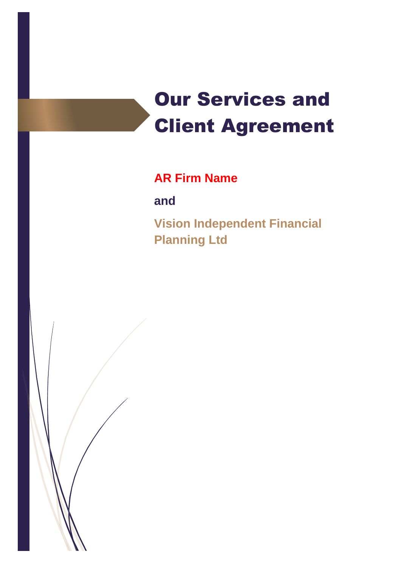# Our Services and Client Agreement

## **AR Firm Name**

**and**

**Vision Independent Financial Planning Ltd**

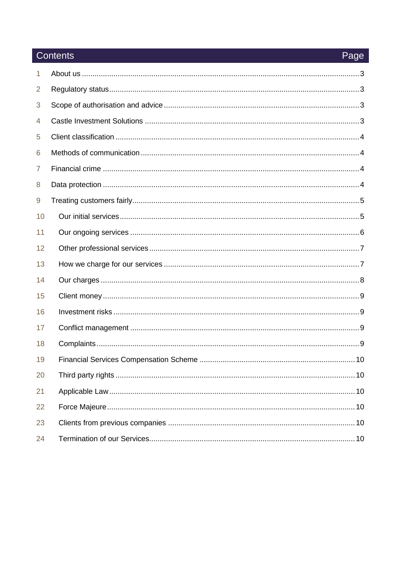## Contents

| 1  |  |
|----|--|
| 2  |  |
| 3  |  |
| 4  |  |
| 5  |  |
| 6  |  |
| 7  |  |
| 8  |  |
| 9  |  |
| 10 |  |
| 11 |  |
| 12 |  |
| 13 |  |
| 14 |  |
| 15 |  |
| 16 |  |
| 17 |  |
| 18 |  |
| 19 |  |
| 20 |  |
| 21 |  |
| 22 |  |
| 23 |  |
| 24 |  |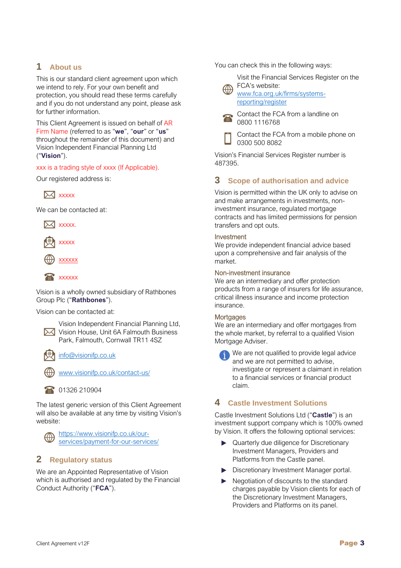## **1 About us**

This is our standard client agreement upon which we intend to rely. For your own benefit and protection, you should read these terms carefully and if you do not understand any point, please ask for further information.

This Client Agreement is issued on behalf of AR Firm Name (referred to as "**we**", "**our**" or "**us**" throughout the remainder of this document) and Vision Independent Financial Planning Ltd ("**Vision**").

xxx is a trading style of xxxx (If Applicable).

Our registered address is:



We can be contacted at:





xxxxxx



Vision is a wholly owned subsidiary of Rathbones Group Plc ("**Rathbones**").

Vision can be contacted at:



[info@visionifp.co.uk](mailto:info@visionifp.co.uk)

[www.visionifp.co.uk/contact-us/](http://www.visionifp.co.uk/contact-us/)

1326 210904

The latest generic version of this Client Agreement will also be available at any time by visiting Vision's website:



## **2 Regulatory status**

We are an Appointed Representative of Vision which is authorised and regulated by the Financial Conduct Authority ("**FCA**").

You can check this in the following ways:

Visit the Financial Services Register on the FCA's website:

[www.fca.org.uk/firms/systems](http://www.fca.org.uk/firms/systems-reporting/register)[reporting/register](http://www.fca.org.uk/firms/systems-reporting/register)



Contact the FCA from a landline on 0800 1116768

Contact the FCA from a mobile phone on 0300 500 8082

Vision's Financial Services Register number is 487395.

## **3 Scope of authorisation and advice**

Vision is permitted within the UK only to advise on and make arrangements in investments, noninvestment insurance, regulated mortgage contracts and has limited permissions for pension transfers and opt outs.

#### Investment

We provide independent financial advice based upon a comprehensive and fair analysis of the market.

#### Non-investment insurance

We are an intermediary and offer protection products from a range of insurers for life assurance, critical illness insurance and income protection insurance.

#### **Mortgages**

We are an intermediary and offer mortgages from the whole market, by referral to a qualified Vision Mortgage Adviser.

We are not qualified to provide legal advice and we are not permitted to advise, investigate or represent a claimant in relation to a financial services or financial product claim.

## **4 Castle Investment Solutions**

Castle Investment Solutions Ltd ("**Castle**") is an investment support company which is 100% owned by Vision. It offers the following optional services:

- ▶ Quarterly due diligence for Discretionary Investment Managers, Providers and Platforms from the Castle panel.
- Discretionary Investment Manager portal.
- Negotiation of discounts to the standard charges payable by Vision clients for each of the Discretionary Investment Managers, Providers and Platforms on its panel.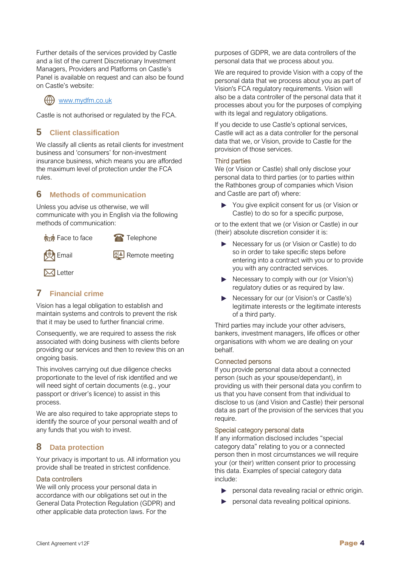Further details of the services provided by Castle and a list of the current Discretionary Investment Managers, Providers and Platforms on Castle's Panel is available on request and can also be found on Castle's website:

## $\left(\leftarrow\right)$  [www.mydfm.co.uk](http://www.mydfm.co.uk/)

Castle is not authorised or regulated by the FCA.

## **5 Client classification**

We classify all clients as retail clients for investment business and 'consumers' for non-investment insurance business, which means you are afforded the maximum level of protection under the FCA rules.

## **6 Methods of communication**

Unless you advise us otherwise, we will communicate with you in English via the following methods of communication:

**Figure 1** Face to face **Telephone** 





Email **Email** Remote meeting

**M** Letter

## **7 Financial crime**

Vision has a legal obligation to establish and maintain systems and controls to prevent the risk that it may be used to further financial crime.

Consequently, we are required to assess the risk associated with doing business with clients before providing our services and then to review this on an ongoing basis.

This involves carrying out due diligence checks proportionate to the level of risk identified and we will need sight of certain documents (e.g., your passport or driver's licence) to assist in this process.

We are also required to take appropriate steps to identify the source of your personal wealth and of any funds that you wish to invest.

## **8 Data protection**

Your privacy is important to us. All information you provide shall be treated in strictest confidence.

#### Data controllers

We will only process your personal data in accordance with our obligations set out in the General Data Protection Regulation (GDPR) and other applicable data protection laws. For the

purposes of GDPR, we are data controllers of the personal data that we process about you.

We are required to provide Vision with a copy of the personal data that we process about you as part of Vision's FCA regulatory requirements. Vision will also be a data controller of the personal data that it processes about you for the purposes of complying with its legal and regulatory obligations.

If you decide to use Castle's optional services, Castle will act as a data controller for the personal data that we, or Vision, provide to Castle for the provision of those services.

#### Third parties

We (or Vision or Castle) shall only disclose your personal data to third parties (or to parties within the Rathbones group of companies which Vision and Castle are part of) where:

You give explicit consent for us (or Vision or Castle) to do so for a specific purpose,

or to the extent that we (or Vision or Castle) in our (their) absolute discretion consider it is:

- Necessary for us (or Vision or Castle) to do so in order to take specific steps before entering into a contract with you or to provide you with any contracted services.
- $\blacktriangleright$  Necessary to comply with our (or Vision's) regulatory duties or as required by law.
- Necessary for our (or Vision's or Castle's) legitimate interests or the legitimate interests of a third party.

Third parties may include your other advisers, bankers, investment managers, life offices or other organisations with whom we are dealing on your behalf.

#### Connected persons

If you provide personal data about a connected person (such as your spouse/dependant), in providing us with their personal data you confirm to us that you have consent from that individual to disclose to us (and Vision and Castle) their personal data as part of the provision of the services that you require.

#### Special category personal data

If any information disclosed includes "special category data" relating to you or a connected person then in most circumstances we will require your (or their) written consent prior to processing this data. Examples of special category data include:

- **P** personal data revealing racial or ethnic origin.
- personal data revealing political opinions.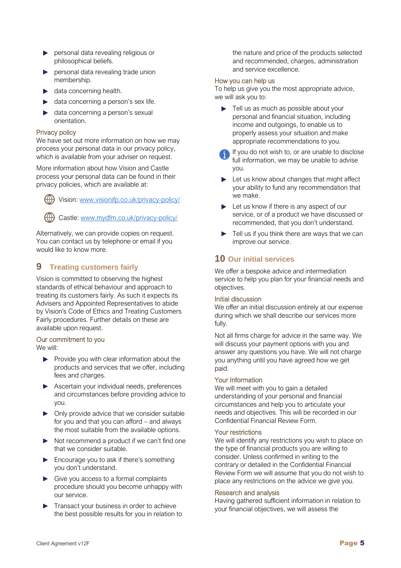- **Personal data revealing religious or** philosophical beliefs.
- **P** personal data revealing trade union membership.
- $\blacktriangleright$  data concerning health.
- $\blacktriangleright$  data concerning a person's sex life.
- data concerning a person's sexual orientation.

#### Privacy policy

We have set out more information on how we may process your personal data in our privacy policy, which is available from your adviser on request.

More information about how Vision and Castle process your personal data can be found in their privacy policies, which are available at:

Vision: [www.visionifp.co.uk/privacy-policy/](http://www.visionifp.co.uk/privacy-policy/)

Castle: [www.mydfm.co.uk/privacy-policy/](http://www.mydfm.co.uk/privacy-policy/)

Alternatively, we can provide copies on request. You can contact us by telephone or email if you would like to know more.

## **9 Treating customers fairly**

Vision is committed to observing the highest standards of ethical behaviour and approach to treating its customers fairly. As such it expects its Advisers and Appointed Representatives to abide by Vision's Code of Ethics and Treating Customers Fairly procedures. Further details on these are available upon request.

#### Our commitment to you

We will:

- $\blacktriangleright$  Provide you with clear information about the products and services that we offer, including fees and charges.
- Ascertain your individual needs, preferences and circumstances before providing advice to you.
- ▶ Only provide advice that we consider suitable for you and that you can afford – and always the most suitable from the available options.
- Not recommend a product if we can't find one that we consider suitable.
- Encourage you to ask if there's something you don't understand.
- Give you access to a formal complaints procedure should you become unhappy with our service.
- Transact your business in order to achieve the best possible results for you in relation to

the nature and price of the products selected and recommended, charges, administration and service excellence.

#### How you can help us

To help us give you the most appropriate advice, we will ask you to:

- Fell us as much as possible about your personal and financial situation, including income and outgoings, to enable us to properly assess your situation and make appropriate recommendations to you.
- If you do not wish to, or are unable to disclose full information, we may be unable to advise you.
- $\blacktriangleright$  Let us know about changes that might affect your ability to fund any recommendation that we make.
- ► Let us know if there is any aspect of our service, or of a product we have discussed or recommended, that you don't understand.
- $\blacktriangleright$  Tell us if you think there are ways that we can improve our service.

## **10 Our initial services**

We offer a bespoke advice and intermediation service to help you plan for your financial needs and objectives.

#### Initial discussion

We offer an initial discussion entirely at our expense during which we shall describe our services more fully.

Not all firms charge for advice in the same way. We will discuss your payment options with you and answer any questions you have. We will not charge you anything until you have agreed how we get paid.

#### Your Information

We will meet with you to gain a detailed understanding of your personal and financial circumstances and help you to articulate your needs and objectives. This will be recorded in our Confidential Financial Review Form.

#### Your restrictions

We will identify any restrictions you wish to place on the type of financial products you are willing to consider. Unless confirmed in writing to the contrary or detailed in the Confidential Financial Review Form we will assume that you do not wish to place any restrictions on the advice we give you.

#### Research and analysis

Having gathered sufficient information in relation to your financial objectives, we will assess the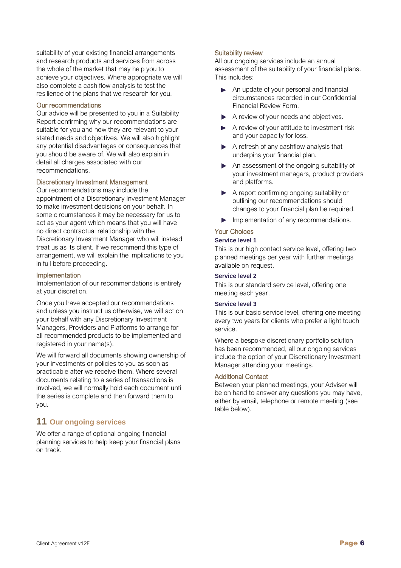suitability of your existing financial arrangements and research products and services from across the whole of the market that may help you to achieve your objectives. Where appropriate we will also complete a cash flow analysis to test the resilience of the plans that we research for you.

#### Our recommendations

Our advice will be presented to you in a Suitability Report confirming why our recommendations are suitable for you and how they are relevant to your stated needs and objectives. We will also highlight any potential disadvantages or consequences that you should be aware of. We will also explain in detail all charges associated with our recommendations.

#### Discretionary Investment Management

Our recommendations may include the appointment of a Discretionary Investment Manager to make investment decisions on your behalf. In some circumstances it may be necessary for us to act as your agent which means that you will have no direct contractual relationship with the Discretionary Investment Manager who will instead treat us as its client. If we recommend this type of arrangement, we will explain the implications to you in full before proceeding.

#### Implementation

Implementation of our recommendations is entirely at your discretion.

Once you have accepted our recommendations and unless you instruct us otherwise, we will act on your behalf with any Discretionary Investment Managers, Providers and Platforms to arrange for all recommended products to be implemented and registered in your name(s).

We will forward all documents showing ownership of your investments or policies to you as soon as practicable after we receive them. Where several documents relating to a series of transactions is involved, we will normally hold each document until the series is complete and then forward them to you.

## **11 Our ongoing services**

We offer a range of optional ongoing financial planning services to help keep your financial plans on track.

#### Suitability review

All our ongoing services include an annual assessment of the suitability of your financial plans. This includes:

- An update of your personal and financial circumstances recorded in our Confidential Financial Review Form.
- A review of your needs and objectives.
- A review of your attitude to investment risk and your capacity for loss.
- $\blacktriangleright$  A refresh of any cashflow analysis that underpins your financial plan.
- An assessment of the ongoing suitability of your investment managers, product providers and platforms.
- A report confirming ongoing suitability or outlining our recommendations should changes to your financial plan be required.
- Implementation of any recommendations.

#### Your Choices

#### **Service level 1**

This is our high contact service level, offering two planned meetings per year with further meetings available on request.

#### **Service level 2**

This is our standard service level, offering one meeting each year.

#### **Service level 3**

This is our basic service level, offering one meeting every two years for clients who prefer a light touch service.

Where a bespoke discretionary portfolio solution has been recommended, all our ongoing services include the option of your Discretionary Investment Manager attending your meetings.

#### Additional Contact

Between your planned meetings, your Adviser will be on hand to answer any questions you may have, either by email, telephone or remote meeting (see table below).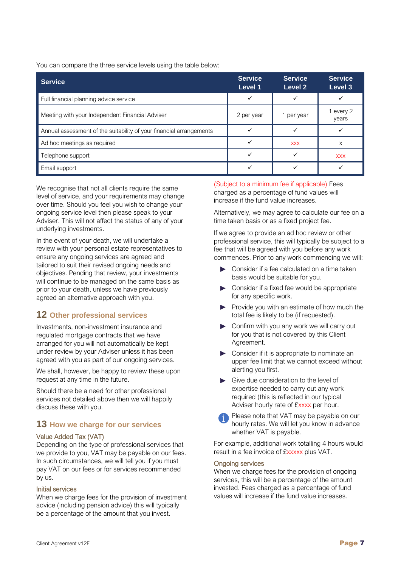You can compare the three service levels using the table below:

| <b>Service</b>                                                      | <b>Service</b><br>Level 1 | <b>Service</b><br>Level 2 | <b>Service</b><br>Level 3 |
|---------------------------------------------------------------------|---------------------------|---------------------------|---------------------------|
| Full financial planning advice service                              | ✓                         |                           |                           |
| Meeting with your Independent Financial Adviser                     | 2 per year                | 1 per year                | 1 every 2<br>years        |
| Annual assessment of the suitability of your financial arrangements | ✓                         |                           |                           |
| Ad hoc meetings as required                                         | $\checkmark$              | <b>XXX</b>                | X                         |
| Telephone support                                                   |                           |                           | <b>XXX</b>                |
| Email support                                                       |                           |                           |                           |

We recognise that not all clients require the same level of service, and your requirements may change over time. Should you feel you wish to change your ongoing service level then please speak to your Adviser. This will not affect the status of any of your underlying investments.

In the event of your death, we will undertake a review with your personal estate representatives to ensure any ongoing services are agreed and tailored to suit their revised ongoing needs and objectives. Pending that review, your investments will continue to be managed on the same basis as prior to your death, unless we have previously agreed an alternative approach with you.

## **12 Other professional services**

Investments, non-investment insurance and regulated mortgage contracts that we have arranged for you will not automatically be kept under review by your Adviser unless it has been agreed with you as part of our ongoing services.

We shall, however, be happy to review these upon request at any time in the future.

Should there be a need for other professional services not detailed above then we will happily discuss these with you.

## **13 How we charge for our services**

#### Value Added Tax (VAT)

Depending on the type of professional services that we provide to you, VAT may be payable on our fees. In such circumstances, we will tell you if you must pay VAT on our fees or for services recommended by us.

#### Initial services

When we charge fees for the provision of investment advice (including pension advice) this will typically be a percentage of the amount that you invest.

(Subject to a minimum fee if applicable) Fees charged as a percentage of fund values will increase if the fund value increases.

Alternatively, we may agree to calculate our fee on a time taken basis or as a fixed project fee.

If we agree to provide an ad hoc review or other professional service, this will typically be subject to a fee that will be agreed with you before any work commences. Prior to any work commencing we will:

- ▶ Consider if a fee calculated on a time taken basis would be suitable for you.
- ▶ Consider if a fixed fee would be appropriate for any specific work.
- $\blacktriangleright$  Provide you with an estimate of how much the total fee is likely to be (if requested).
- **Confirm with you any work we will carry out** for you that is not covered by this Client Agreement.
- ▶ Consider if it is appropriate to nominate an upper fee limit that we cannot exceed without alerting you first.
- Give due consideration to the level of expertise needed to carry out any work required (this is reflected in our typical Adviser hourly rate of £xxxx per hour.
- Please note that VAT may be payable on our hourly rates. We will let you know in advance whether VAT is payable.

For example, additional work totalling 4 hours would result in a fee invoice of £xxxxx plus VAT.

#### Ongoing services

When we charge fees for the provision of ongoing services, this will be a percentage of the amount invested. Fees charged as a percentage of fund values will increase if the fund value increases.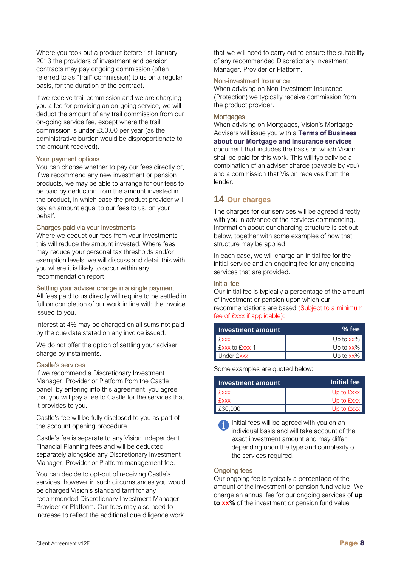Where you took out a product before 1st January 2013 the providers of investment and pension contracts may pay ongoing commission (often referred to as "trail" commission) to us on a regular basis, for the duration of the contract.

If we receive trail commission and we are charging you a fee for providing an on-going service, we will deduct the amount of any trail commission from our on-going service fee, except where the trail commission is under £50.00 per year (as the administrative burden would be disproportionate to the amount received).

#### Your payment options

You can choose whether to pay our fees directly or, if we recommend any new investment or pension products, we may be able to arrange for our fees to be paid by deduction from the amount invested in the product, in which case the product provider will pay an amount equal to our fees to us, on your behalf.

#### Charges paid via your investments

Where we deduct our fees from your investments this will reduce the amount invested. Where fees may reduce your personal tax thresholds and/or exemption levels, we will discuss and detail this with you where it is likely to occur within any recommendation report.

#### Settling your adviser charge in a single payment

All fees paid to us directly will require to be settled in full on completion of our work in line with the invoice issued to you.

Interest at 4% may be charged on all sums not paid by the due date stated on any invoice issued.

We do not offer the option of settling your adviser charge by instalments.

#### Castle's services

If we recommend a Discretionary Investment Manager, Provider or Platform from the Castle panel, by entering into this agreement, you agree that you will pay a fee to Castle for the services that it provides to you.

Castle's fee will be fully disclosed to you as part of the account opening procedure.

Castle's fee is separate to any Vision Independent Financial Planning fees and will be deducted separately alongside any Discretionary Investment Manager, Provider or Platform management fee.

You can decide to opt-out of receiving Castle's services, however in such circumstances you would be charged Vision's standard tariff for any recommended Discretionary Investment Manager, Provider or Platform. Our fees may also need to increase to reflect the additional due diligence work

that we will need to carry out to ensure the suitability of any recommended Discretionary Investment Manager, Provider or Platform.

#### Non-investment Insurance

When advising on Non-Investment Insurance (Protection) we typically receive commission from the product provider.

#### **Mortgages**

When advising on Mortgages, Vision's Mortgage Advisers will issue you with a **Terms of Business about our Mortgage and Insurance services** document that includes the basis on which Vision shall be paid for this work. This will typically be a combination of an adviser charge (payable by you) and a commission that Vision receives from the lender.

## **14 Our charges**

The charges for our services will be agreed directly with you in advance of the services commencing. Information about our charging structure is set out below, together with some examples of how that structure may be applied.

In each case, we will charge an initial fee for the initial service and an ongoing fee for any ongoing services that are provided.

#### Initial fee

Our initial fee is typically a percentage of the amount of investment or pension upon which our recommendations are based (Subject to a minimum fee of £xxx if applicable):

| Investment amount | % fee        |
|-------------------|--------------|
| $Exxx +$          | Up to $xx\%$ |
| Exxx to Exxx-1    | Up to $xx\%$ |
| Under Exxx        | Up to $xx\%$ |

Some examples are quoted below:

| Investment amount | Initial fee |
|-------------------|-------------|
| Exxx              | Up to Exxx  |
| Exxx              | Up to Exxx  |
| E30,000           | Up to Exxx  |

Initial fees will be agreed with you on an individual basis and will take account of the exact investment amount and may differ depending upon the type and complexity of the services required.

#### Ongoing fees

Our ongoing fee is typically a percentage of the amount of the investment or pension fund value. We charge an annual fee for our ongoing services of **up to xx%** of the investment or pension fund value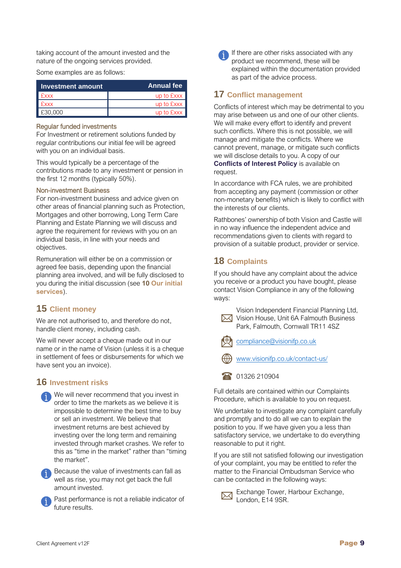taking account of the amount invested and the nature of the ongoing services provided.

Some examples are as follows:

| Investment amount | Annual fee |
|-------------------|------------|
| <b>Exxx</b>       | up to £xxx |
| <b>Exxx</b>       | up to £xxx |
| £30,000           | up to £xxx |

#### Regular funded investments

For Investment or retirement solutions funded by regular contributions our initial fee will be agreed with you on an individual basis.

This would typically be a percentage of the contributions made to any investment or pension in the first 12 months (typically 50%).

#### Non-investment Business

For non-investment business and advice given on other areas of financial planning such as Protection, Mortgages and other borrowing, Long Term Care Planning and Estate Planning we will discuss and agree the requirement for reviews with you on an individual basis, in line with your needs and objectives.

Remuneration will either be on a commission or agreed fee basis, depending upon the financial planning area involved, and will be fully disclosed to you during the initial discussion (see **10 Our initial services**).

## **15 Client money**

We are not authorised to, and therefore do not, handle client money, including cash.

We will never accept a cheque made out in our name or in the name of Vision (unless it is a cheque in settlement of fees or disbursements for which we have sent you an invoice).

#### **16 Investment risks**

| We will never recommend that you invest in       |
|--------------------------------------------------|
| order to time the markets as we believe it is    |
| impossible to determine the best time to buy     |
| or sell an investment. We believe that           |
| investment returns are best achieved by          |
| investing over the long term and remaining       |
| invested through market crashes. We refer to     |
| this as "time in the market" rather than "timing |
| the market".                                     |



Past performance is not a reliable indicator of future results.



If there are other risks associated with any product we recommend, these will be explained within the documentation provided as part of the advice process.

### **17 Conflict management**

Conflicts of interest which may be detrimental to you may arise between us and one of our other clients. We will make every effort to identify and prevent such conflicts. Where this is not possible, we will manage and mitigate the conflicts. Where we cannot prevent, manage, or mitigate such conflicts we will disclose details to you. A copy of our **Conflicts of Interest Policy** is available on request.

In accordance with FCA rules, we are prohibited from accepting any payment (commission or other non-monetary benefits) which is likely to conflict with the interests of our clients.

Rathbones' ownership of both Vision and Castle will in no way influence the independent advice and recommendations given to clients with regard to provision of a suitable product, provider or service.

## **18 Complaints**

If you should have any complaint about the advice you receive or a product you have bought, please contact Vision Compliance in any of the following ways:



Vision Independent Financial Planning Ltd, **X** Vision House, Unit 6A Falmouth Business Park, Falmouth, Cornwall TR11 4SZ



[compliance@visionifp.co.uk](mailto:compliance@visionifp.co.uk)

[www.visionifp.co.uk/contact-us/](http://www.visionifp.co.uk/contact-us/)

1 01326 210904

Full details are contained within our Complaints Procedure, which is available to you on request.

We undertake to investigate any complaint carefully and promptly and to do all we can to explain the position to you. If we have given you a less than satisfactory service, we undertake to do everything reasonable to put it right.

If you are still not satisfied following our investigation of your complaint, you may be entitled to refer the matter to the Financial Ombudsman Service who can be contacted in the following ways:



Exchange Tower, Harbour Exchange, London, E14 9SR.